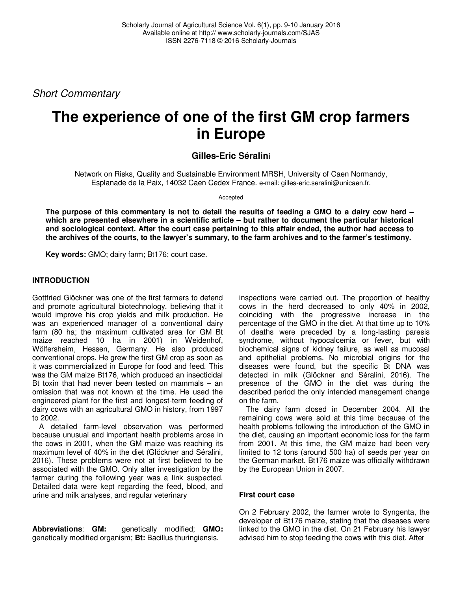Short Commentary

# **The experience of one of the first GM crop farmers in Europe**

## **Gilles-Eric Séralini**

Network on Risks, Quality and Sustainable Environment MRSH, University of Caen Normandy, Esplanade de la Paix, 14032 Caen Cedex France. e-mail: gilles-eric.seralini@unicaen.fr.

Accepted

**The purpose of this commentary is not to detail the results of feeding a GMO to a dairy cow herd – which are presented elsewhere in a scientific article – but rather to document the particular historical and sociological context. After the court case pertaining to this affair ended, the author had access to the archives of the courts, to the lawyer's summary, to the farm archives and to the farmer's testimony.** 

**Key words:** GMO; dairy farm; Bt176; court case.

## **INTRODUCTION**

Gottfried Glöckner was one of the first farmers to defend and promote agricultural biotechnology, believing that it would improve his crop yields and milk production. He was an experienced manager of a conventional dairy farm (80 ha; the maximum cultivated area for GM Bt maize reached 10 ha in 2001) in Weidenhof, Wölfersheim, Hessen, Germany. He also produced conventional crops. He grew the first GM crop as soon as it was commercialized in Europe for food and feed. This was the GM maize Bt176, which produced an insecticidal Bt toxin that had never been tested on mammals  $-$  an omission that was not known at the time. He used the engineered plant for the first and longest-term feeding of dairy cows with an agricultural GMO in history, from 1997 to 2002.

A detailed farm-level observation was performed because unusual and important health problems arose in the cows in 2001, when the GM maize was reaching its maximum level of 40% in the diet (Glöckner and Séralini, 2016). These problems were not at first believed to be associated with the GMO. Only after investigation by the farmer during the following year was a link suspected. Detailed data were kept regarding the feed, blood, and urine and milk analyses, and regular veterinary

**Abbreviations**: **GM:** genetically modified; **GMO:** genetically modified organism; **Bt:** Bacillus thuringiensis.

inspections were carried out. The proportion of healthy cows in the herd decreased to only 40% in 2002, coinciding with the progressive increase in the percentage of the GMO in the diet. At that time up to 10% of deaths were preceded by a long-lasting paresis syndrome, without hypocalcemia or fever, but with biochemical signs of kidney failure, as well as mucosal and epithelial problems. No microbial origins for the diseases were found, but the specific Bt DNA was detected in milk (Glöckner and Séralini, 2016). The presence of the GMO in the diet was during the described period the only intended management change on the farm.

The dairy farm closed in December 2004. All the remaining cows were sold at this time because of the health problems following the introduction of the GMO in the diet, causing an important economic loss for the farm from 2001. At this time, the GM maize had been very limited to 12 tons (around 500 ha) of seeds per year on the German market. Bt176 maize was officially withdrawn by the European Union in 2007.

## **First court case**

On 2 February 2002, the farmer wrote to Syngenta, the developer of Bt176 maize, stating that the diseases were linked to the GMO in the diet. On 21 February his lawyer advised him to stop feeding the cows with this diet. After